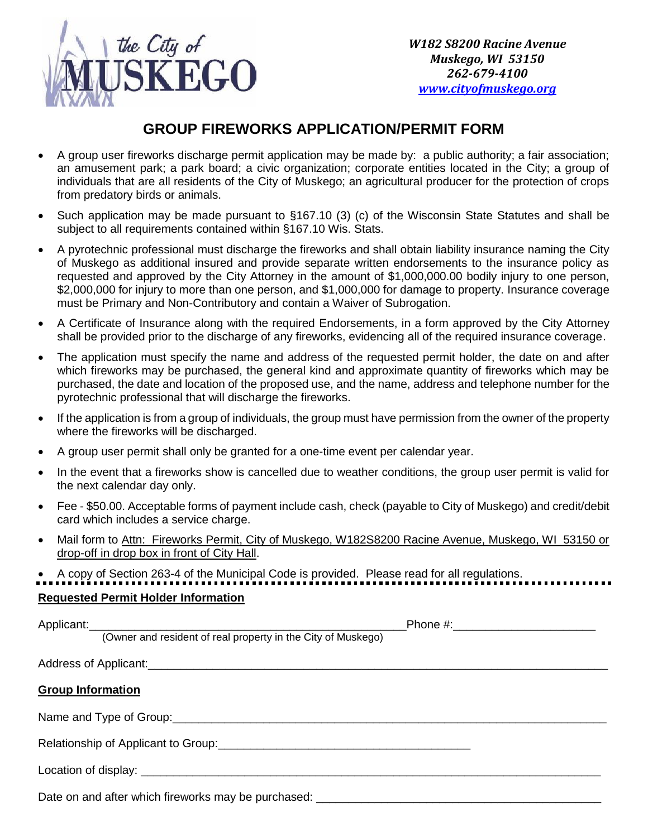

## **GROUP FIREWORKS APPLICATION/PERMIT FORM**

- A group user fireworks discharge permit application may be made by: a public authority; a fair association; an amusement park; a park board; a civic organization; corporate entities located in the City; a group of individuals that are all residents of the City of Muskego; an agricultural producer for the protection of crops from predatory birds or animals.
- Such application may be made pursuant to §167.10 (3) (c) of the Wisconsin State Statutes and shall be subject to all requirements contained within §167.10 Wis. Stats.
- A pyrotechnic professional must discharge the fireworks and shall obtain liability insurance naming the City of Muskego as additional insured and provide separate written endorsements to the insurance policy as requested and approved by the City Attorney in the amount of \$1,000,000.00 bodily injury to one person, \$2,000,000 for injury to more than one person, and \$1,000,000 for damage to property. Insurance coverage must be Primary and Non-Contributory and contain a Waiver of Subrogation.
- A Certificate of Insurance along with the required Endorsements, in a form approved by the City Attorney shall be provided prior to the discharge of any fireworks, evidencing all of the required insurance coverage.
- The application must specify the name and address of the requested permit holder, the date on and after which fireworks may be purchased, the general kind and approximate quantity of fireworks which may be purchased, the date and location of the proposed use, and the name, address and telephone number for the pyrotechnic professional that will discharge the fireworks.
- If the application is from a group of individuals, the group must have permission from the owner of the property where the fireworks will be discharged.
- A group user permit shall only be granted for a one-time event per calendar year.
- In the event that a fireworks show is cancelled due to weather conditions, the group user permit is valid for the next calendar day only.
- Fee \$50.00. Acceptable forms of payment include cash, check (payable to City of Muskego) and credit/debit card which includes a service charge.
- Mail form to Attn: Fireworks Permit, City of Muskego, W182S8200 Racine Avenue, Muskego, WI 53150 or drop-off in drop box in front of City Hall.
- A copy of Section 263-4 of the Municipal Code is provided. Please read for all regulations.

## **Requested Permit Holder Information**

| (Owner and resident of real property in the City of Muskego) |  |  |  |  |  |
|--------------------------------------------------------------|--|--|--|--|--|
|                                                              |  |  |  |  |  |
| <b>Group Information</b>                                     |  |  |  |  |  |
| Name and Type of Group: Name and Type of Group:              |  |  |  |  |  |
|                                                              |  |  |  |  |  |
|                                                              |  |  |  |  |  |
|                                                              |  |  |  |  |  |

Date on and after which fireworks may be purchased: